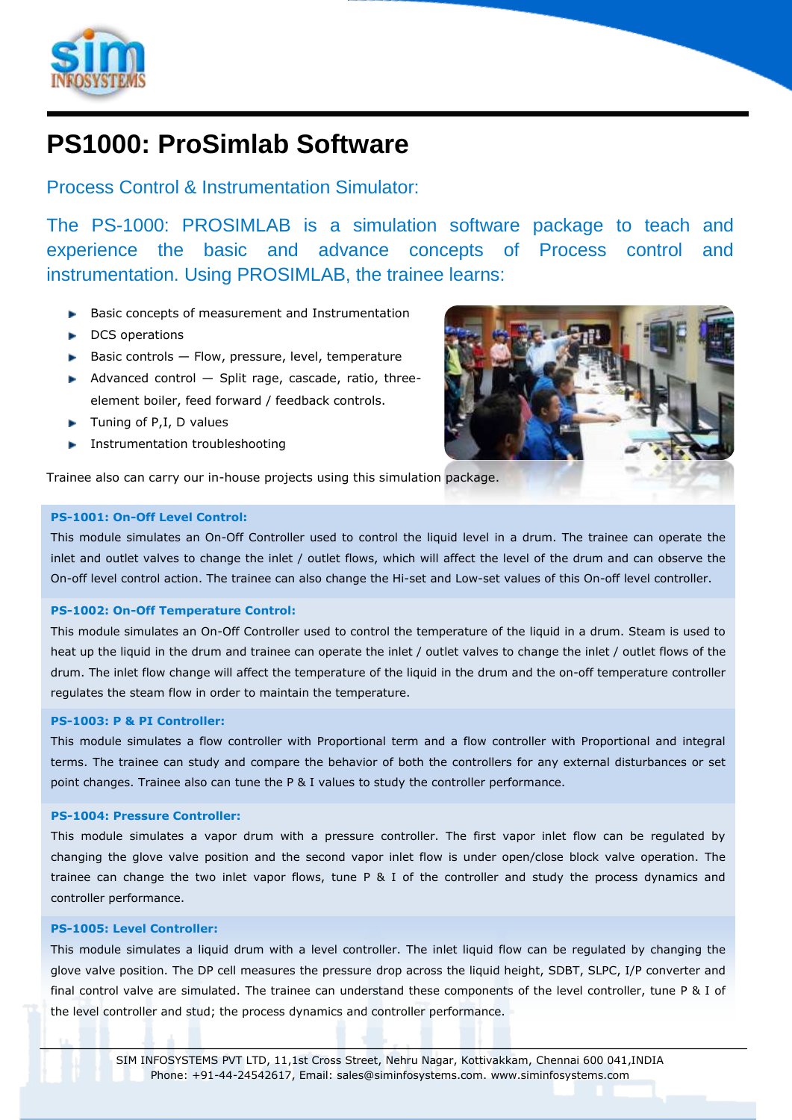

# **PS1000: ProSimlab Software**

Process Control & Instrumentation Simulator:

The PS-1000: PROSIMLAB is a simulation software package to teach and experience the basic and advance concepts of Process control and instrumentation. Using PROSIMLAB, the trainee learns:

- Basic concepts of measurement and Instrumentation
- DCS operations
- Basic controls Flow, pressure, level, temperature
- Advanced control  $-$  Split rage, cascade, ratio, threeelement boiler, feed forward / feedback controls.
- $\blacktriangleright$  Tuning of P, I, D values
- **Instrumentation troubleshooting**

Trainee also can carry our in-house projects using this simulation package.

# **PS-1001: On-Off Level Control:**

This module simulates an On-Off Controller used to control the liquid level in a drum. The trainee can operate the inlet and outlet valves to change the inlet / outlet flows, which will affect the level of the drum and can observe the On-off level control action. The trainee can also change the Hi-set and Low-set values of this On-off level controller.

## **PS-1002: On-Off Temperature Control:**

This module simulates an On-Off Controller used to control the temperature of the liquid in a drum. Steam is used to heat up the liquid in the drum and trainee can operate the inlet / outlet valves to change the inlet / outlet flows of the drum. The inlet flow change will affect the temperature of the liquid in the drum and the on-off temperature controller regulates the steam flow in order to maintain the temperature.

## **PS-1003: P & PI Controller:**

This module simulates a flow controller with Proportional term and a flow controller with Proportional and integral terms. The trainee can study and compare the behavior of both the controllers for any external disturbances or set point changes. Trainee also can tune the P & I values to study the controller performance.

# **PS-1004: Pressure Controller:**

This module simulates a vapor drum with a pressure controller. The first vapor inlet flow can be regulated by changing the glove valve position and the second vapor inlet flow is under open/close block valve operation. The trainee can change the two inlet vapor flows, tune P & I of the controller and study the process dynamics and controller performance.

## **PS-1005: Level Controller:**

This module simulates a liquid drum with a level controller. The inlet liquid flow can be regulated by changing the glove valve position. The DP cell measures the pressure drop across the liquid height, SDBT, SLPC, I/P converter and final control valve are simulated. The trainee can understand these components of the level controller, tune P & I of the level controller and stud; the process dynamics and controller performance.